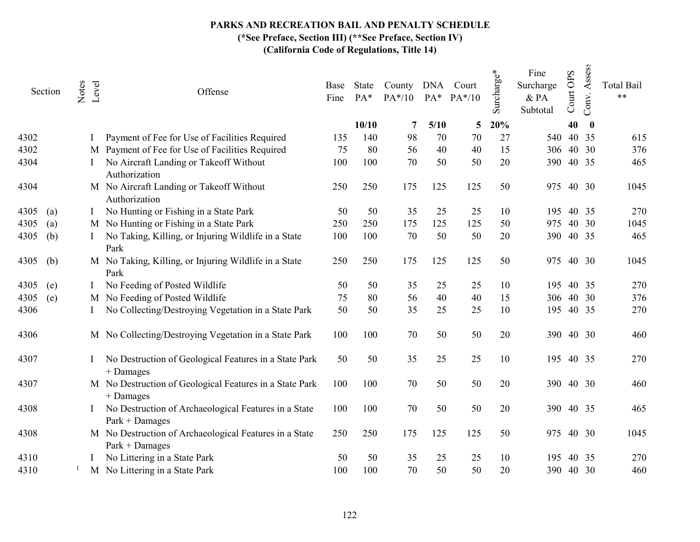## PARKS AND RECREATION BAIL AND PENALTY SCHEDULE

(\*See Preface, Section III) (\*\*See Preface, Section IV)

|      | Section | Notes<br>Level | Offense                                                                  | Base<br>Fine | State<br>PA* | County DNA Court<br>$PA*/10$ |      | $PA^*$ $PA^*/10$ | Surcharge* | Fine<br>Surcharge<br>& PA<br>Subtotal | Court OPS | Assess<br>Conv. | <b>Total Bail</b><br>$***$ |
|------|---------|----------------|--------------------------------------------------------------------------|--------------|--------------|------------------------------|------|------------------|------------|---------------------------------------|-----------|-----------------|----------------------------|
|      |         |                |                                                                          |              | 10/10        | 7                            | 5/10 | 5                | 20%        |                                       | 40        | $\bf{0}$        |                            |
| 4302 |         |                | Payment of Fee for Use of Facilities Required                            | 135          | 140          | 98                           | 70   | 70               | 27         | 540                                   |           | 40 35           | 615                        |
| 4302 |         |                | M Payment of Fee for Use of Facilities Required                          | 75           | 80           | 56                           | 40   | 40               | 15         | 306                                   |           | 40 30           | 376                        |
| 4304 |         |                | No Aircraft Landing or Takeoff Without<br>Authorization                  | 100          | 100          | 70                           | 50   | 50               | 20         | 390                                   |           | 40 35           | 465                        |
| 4304 |         |                | M No Aircraft Landing or Takeoff Without<br>Authorization                | 250          | 250          | 175                          | 125  | 125              | 50         | 975                                   |           | 40 30           | 1045                       |
| 4305 | (a)     |                | No Hunting or Fishing in a State Park                                    | 50           | 50           | 35                           | 25   | 25               | 10         | 195                                   |           | 40 35           | 270                        |
| 4305 | (a)     |                | M No Hunting or Fishing in a State Park                                  | 250          | 250          | 175                          | 125  | 125              | 50         | 975                                   |           | 40 30           | 1045                       |
| 4305 | (b)     |                | No Taking, Killing, or Injuring Wildlife in a State<br>Park              | 100          | 100          | 70                           | 50   | 50               | 20         | 390                                   |           | 40 35           | 465                        |
| 4305 | (b)     |                | M No Taking, Killing, or Injuring Wildlife in a State<br>Park            | 250          | 250          | 175                          | 125  | 125              | 50         | 975                                   |           | 40 30           | 1045                       |
| 4305 | (e)     |                | No Feeding of Posted Wildlife                                            | 50           | 50           | 35                           | 25   | 25               | 10         | 195                                   |           | 40 35           | 270                        |
| 4305 | (e)     |                | M No Feeding of Posted Wildlife                                          | 75           | 80           | 56                           | 40   | 40               | 15         |                                       |           | 306 40 30       | 376                        |
| 4306 |         |                | No Collecting/Destroying Vegetation in a State Park                      | 50           | 50           | 35                           | 25   | 25               | 10         | 195                                   |           | 40 35           | 270                        |
| 4306 |         |                | M No Collecting/Destroying Vegetation in a State Park                    | 100          | 100          | 70                           | 50   | 50               | 20         |                                       |           | 390 40 30       | 460                        |
| 4307 |         |                | No Destruction of Geological Features in a State Park<br>$+$ Damages     | 50           | 50           | 35                           | 25   | 25               | 10         | 195                                   |           | 40 35           | 270                        |
| 4307 |         |                | M No Destruction of Geological Features in a State Park<br>+ Damages     | 100          | 100          | 70                           | 50   | 50               | 20         | 390                                   |           | 40 30           | 460                        |
| 4308 |         |                | No Destruction of Archaeological Features in a State<br>$Park + Damages$ | 100          | 100          | 70                           | 50   | 50               | 20         | 390                                   |           | 40 35           | 465                        |
| 4308 |         |                | M No Destruction of Archaeological Features in a State<br>Park + Damages | 250          | 250          | 175                          | 125  | 125              | 50         | 975                                   |           | 40 30           | 1045                       |
| 4310 |         |                | No Littering in a State Park                                             | 50           | 50           | 35                           | 25   | 25               | 10         | 195                                   |           | 40 35           | 270                        |
| 4310 |         |                | M No Littering in a State Park                                           | 100          | 100          | 70                           | 50   | 50               | 20         |                                       | 390 40 30 |                 | 460                        |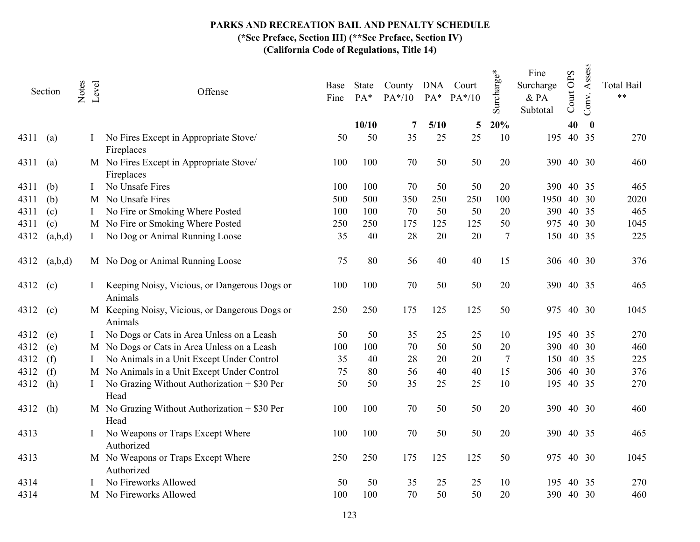|      | Section | Notes | Level | Offense                                                   | Base<br>Fine | State<br>PA* | County DNA Court<br>$PA*/10$ | $PA*$      | $PA*/10$ | Surcharge* | Fine<br>Surcharge<br>& PA<br>Subtotal | Court OPS | Assess<br>Conv.           | <b>Total Bail</b><br>$**$ |
|------|---------|-------|-------|-----------------------------------------------------------|--------------|--------------|------------------------------|------------|----------|------------|---------------------------------------|-----------|---------------------------|---------------------------|
| 4311 | (a)     |       |       | No Fires Except in Appropriate Stove/                     | 50           | 10/10<br>50  | 7<br>35                      | 5/10<br>25 | 5<br>25  | 20%<br>10  | 195                                   | 40        | $\boldsymbol{0}$<br>40 35 | 270                       |
|      |         |       |       | Fireplaces                                                |              |              |                              |            |          |            |                                       |           |                           |                           |
| 4311 | (a)     |       |       | M No Fires Except in Appropriate Stove/<br>Fireplaces     | 100          | 100          | 70                           | 50         | 50       | 20         | 390                                   |           | 40 30                     | 460                       |
| 4311 | (b)     |       |       | No Unsafe Fires                                           | 100          | 100          | 70                           | 50         | 50       | 20         | 390                                   |           | 40 35                     | 465                       |
| 4311 | (b)     |       | M     | No Unsafe Fires                                           | 500          | 500          | 350                          | 250        | 250      | 100        | 1950                                  |           | 40 30                     | 2020                      |
| 4311 | (c)     |       |       | No Fire or Smoking Where Posted                           | 100          | 100          | 70                           | 50         | 50       | 20         | 390                                   |           | 40 35                     | 465                       |
| 4311 | (c)     |       |       | M No Fire or Smoking Where Posted                         | 250          | 250          | 175                          | 125        | 125      | 50         | 975                                   |           | 40 30                     | 1045                      |
| 4312 | (a,b,d) |       |       | No Dog or Animal Running Loose                            | 35           | 40           | 28                           | 20         | 20       | 7          | 150                                   |           | 40 35                     | 225                       |
| 4312 | (a,b,d) |       |       | M No Dog or Animal Running Loose                          | 75           | 80           | 56                           | 40         | 40       | 15         | 306 40 30                             |           |                           | 376                       |
| 4312 | (c)     |       |       | Keeping Noisy, Vicious, or Dangerous Dogs or<br>Animals   | 100          | 100          | 70                           | 50         | 50       | 20         | 390                                   |           | 40 35                     | 465                       |
| 4312 | (c)     |       |       | M Keeping Noisy, Vicious, or Dangerous Dogs or<br>Animals | 250          | 250          | 175                          | 125        | 125      | 50         | 975                                   |           | 40 30                     | 1045                      |
| 4312 | (e)     |       |       | No Dogs or Cats in Area Unless on a Leash                 | 50           | 50           | 35                           | 25         | 25       | 10         | 195                                   |           | 40 35                     | 270                       |
| 4312 | (e)     |       |       | M No Dogs or Cats in Area Unless on a Leash               | 100          | 100          | 70                           | 50         | 50       | 20         | 390                                   |           | 40 30                     | 460                       |
| 4312 | (f)     |       |       | No Animals in a Unit Except Under Control                 | 35           | 40           | 28                           | 20         | 20       | 7          | 150                                   |           | 40 35                     | 225                       |
| 4312 | (f)     |       |       | M No Animals in a Unit Except Under Control               | 75           | 80           | 56                           | 40         | 40       | 15         | 306                                   |           | 40 30                     | 376                       |
| 4312 | (h)     |       |       | No Grazing Without Authorization + \$30 Per<br>Head       | 50           | 50           | 35                           | 25         | 25       | 10         | 195                                   |           | 40 35                     | 270                       |
| 4312 | (h)     |       |       | M No Grazing Without Authorization $+$ \$30 Per<br>Head   | 100          | 100          | 70                           | 50         | 50       | 20         | 390                                   |           | 40 30                     | 460                       |
| 4313 |         |       |       | No Weapons or Traps Except Where<br>Authorized            | 100          | 100          | 70                           | 50         | 50       | 20         | 390                                   |           | 40 35                     | 465                       |
| 4313 |         |       |       | M No Weapons or Traps Except Where<br>Authorized          | 250          | 250          | 175                          | 125        | 125      | 50         | 975                                   |           | 40 30                     | 1045                      |
| 4314 |         |       |       | No Fireworks Allowed                                      | 50           | 50           | 35                           | 25         | 25       | 10         | 195                                   |           | 40 35                     | 270                       |
| 4314 |         |       |       | M No Fireworks Allowed                                    | 100          | 100          | 70                           | 50         | 50       | 20         | 390                                   |           | 40 30                     | 460                       |
|      |         |       |       |                                                           |              |              |                              |            |          |            |                                       |           |                           |                           |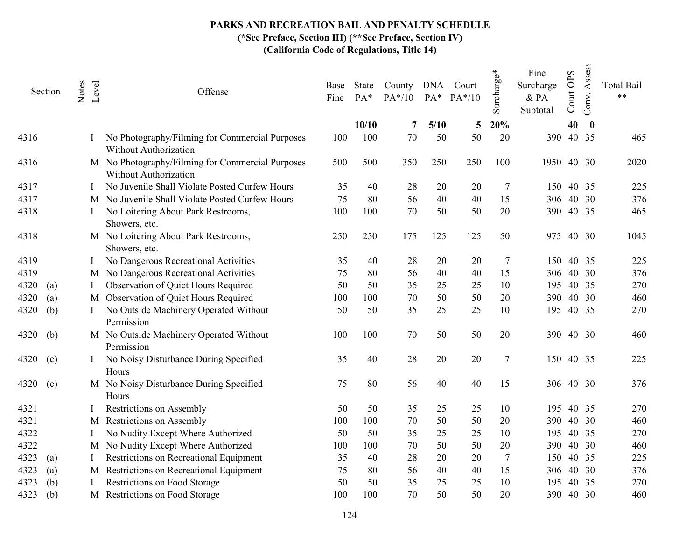# PARKS AND RECREATION BAIL AND PENALTY SCHEDULE

(\*See Preface, Section III) (\*\*See Preface, Section IV)

|      | Section | Notes | Level | Offense                                                                   | Base<br>Fine | State<br>PA* | County DNA Court<br>$PA*/10$ | $PA*$      | $PA*/10$ | Surcharge* | Fine<br>Surcharge<br>$&$ PA<br>Subtotal | Court OPS | Assess<br>Conv.           | <b>Total Bail</b><br>$***$ |
|------|---------|-------|-------|---------------------------------------------------------------------------|--------------|--------------|------------------------------|------------|----------|------------|-----------------------------------------|-----------|---------------------------|----------------------------|
| 4316 |         |       |       | No Photography/Filming for Commercial Purposes                            | 100          | 10/10<br>100 | 7<br>70                      | 5/10<br>50 | 5<br>50  | 20%<br>20  | 390                                     | 40        | $\boldsymbol{0}$<br>40 35 | 465                        |
|      |         |       |       | Without Authorization                                                     |              |              |                              |            |          |            |                                         |           |                           |                            |
| 4316 |         |       |       | M No Photography/Filming for Commercial Purposes<br>Without Authorization | 500          | 500          | 350                          | 250        | 250      | 100        | 1950                                    |           | 40 30                     | 2020                       |
| 4317 |         |       |       | No Juvenile Shall Violate Posted Curfew Hours                             | 35           | 40           | 28                           | 20         | 20       | 7          | 150                                     |           | 40 35                     | 225                        |
| 4317 |         |       | M     | No Juvenile Shall Violate Posted Curfew Hours                             | 75           | 80           | 56                           | 40         | 40       | 15         | 306                                     |           | 40 30                     | 376                        |
| 4318 |         |       |       | No Loitering About Park Restrooms,<br>Showers, etc.                       | 100          | 100          | 70                           | 50         | 50       | 20         | 390 40 35                               |           |                           | 465                        |
| 4318 |         |       |       | M No Loitering About Park Restrooms,<br>Showers, etc.                     | 250          | 250          | 175                          | 125        | 125      | 50         | 975                                     | 40 30     |                           | 1045                       |
| 4319 |         |       |       | No Dangerous Recreational Activities                                      | 35           | 40           | 28                           | 20         | 20       | 7          | 150                                     |           | 40 35                     | 225                        |
| 4319 |         |       |       | M No Dangerous Recreational Activities                                    | 75           | 80           | 56                           | 40         | 40       | 15         | 306                                     |           | 40 30                     | 376                        |
| 4320 | (a)     |       |       | Observation of Quiet Hours Required                                       | 50           | 50           | 35                           | 25         | 25       | 10         | 195                                     |           | 40 35                     | 270                        |
| 4320 | (a)     |       |       | M Observation of Quiet Hours Required                                     | 100          | 100          | 70                           | 50         | 50       | 20         | 390                                     |           | 40 30                     | 460                        |
| 4320 | (b)     |       |       | No Outside Machinery Operated Without<br>Permission                       | 50           | 50           | 35                           | 25         | 25       | 10         | 195                                     |           | 40 35                     | 270                        |
| 4320 | (b)     |       |       | M No Outside Machinery Operated Without<br>Permission                     | 100          | 100          | 70                           | 50         | 50       | 20         | 390                                     |           | 40 30                     | 460                        |
| 4320 | (c)     |       |       | No Noisy Disturbance During Specified<br>Hours                            | 35           | 40           | 28                           | 20         | 20       | 7          | 150                                     |           | 40 35                     | 225                        |
| 4320 | (c)     |       |       | M No Noisy Disturbance During Specified<br>Hours                          | 75           | 80           | 56                           | 40         | 40       | 15         | 306                                     |           | 40 30                     | 376                        |
| 4321 |         |       |       | Restrictions on Assembly                                                  | 50           | 50           | 35                           | 25         | 25       | 10         | 195                                     |           | 40 35                     | 270                        |
| 4321 |         |       | M     | <b>Restrictions on Assembly</b>                                           | 100          | 100          | 70                           | 50         | 50       | 20         | 390                                     |           | 40 30                     | 460                        |
| 4322 |         |       |       | No Nudity Except Where Authorized                                         | 50           | 50           | 35                           | 25         | 25       | 10         | 195                                     |           | 40 35                     | 270                        |
| 4322 |         |       |       | M No Nudity Except Where Authorized                                       | 100          | 100          | 70                           | 50         | 50       | 20         | 390                                     |           | 40 30                     | 460                        |
| 4323 | (a)     |       |       | Restrictions on Recreational Equipment                                    | 35           | 40           | 28                           | 20         | 20       | 7          | 150                                     |           | 40 35                     | 225                        |
| 4323 | (a)     |       |       | M Restrictions on Recreational Equipment                                  | 75           | 80           | 56                           | 40         | 40       | 15         | 306                                     |           | 40 30                     | 376                        |
| 4323 | (b)     |       |       | Restrictions on Food Storage                                              | 50           | 50           | 35                           | 25         | 25       | 10         | 195                                     |           | 40 35                     | 270                        |
| 4323 | (b)     |       |       | M Restrictions on Food Storage                                            | 100          | 100          | 70                           | 50         | 50       | 20         | 390                                     |           | 40 30                     | 460                        |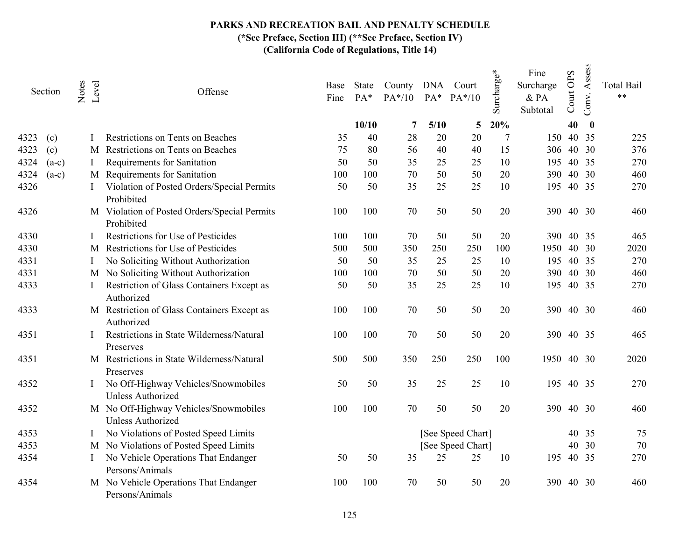|      | Section | Notes    | Level | Offense                                                    | Base<br>Fine | State<br>PA* | County DNA Court<br>$PA*/10$ |      | $PA^*$ $PA^*/10$  | Surcharge* | Fine<br>Surcharge<br>$\&$ PA<br>Subtotal | Court OPS | Assess<br>Conv.  | <b>Total Bail</b><br>$***$ |
|------|---------|----------|-------|------------------------------------------------------------|--------------|--------------|------------------------------|------|-------------------|------------|------------------------------------------|-----------|------------------|----------------------------|
|      |         |          |       |                                                            |              | 10/10        | 7                            | 5/10 | 5                 | 20%        |                                          | 40        | $\boldsymbol{0}$ |                            |
| 4323 | (c)     |          |       | Restrictions on Tents on Beaches                           | 35           | 40           | 28                           | 20   | 20                | 7          | 150                                      |           | 40 35            | 225                        |
| 4323 | (c)     |          | M     | Restrictions on Tents on Beaches                           | 75           | 80           | 56                           | 40   | 40                | 15         | 306                                      |           | 40 30            | 376                        |
| 4324 | $(a-c)$ | $\bf{l}$ |       | Requirements for Sanitation                                | 50           | 50           | 35                           | 25   | 25                | 10         | 195                                      |           | 40 35            | 270                        |
| 4324 | $(a-c)$ |          |       | M Requirements for Sanitation                              | 100          | 100          | 70                           | 50   | 50                | 20         | 390                                      |           | 40 30            | 460                        |
| 4326 |         |          |       | Violation of Posted Orders/Special Permits<br>Prohibited   | 50           | 50           | 35                           | 25   | 25                | 10         | 195                                      |           | 40 35            | 270                        |
| 4326 |         |          |       | M Violation of Posted Orders/Special Permits<br>Prohibited | 100          | 100          | 70                           | 50   | 50                | 20         | 390                                      |           | 40 30            | 460                        |
| 4330 |         |          |       | Restrictions for Use of Pesticides                         | 100          | 100          | 70                           | 50   | 50                | 20         | 390                                      |           | 40 35            | 465                        |
| 4330 |         |          | M     | Restrictions for Use of Pesticides                         | 500          | 500          | 350                          | 250  | 250               | 100        | 1950                                     |           | 40 30            | 2020                       |
| 4331 |         | I        |       | No Soliciting Without Authorization                        | 50           | 50           | 35                           | 25   | 25                | 10         | 195                                      |           | 40 35            | 270                        |
| 4331 |         |          |       | M No Soliciting Without Authorization                      | 100          | 100          | 70                           | 50   | 50                | 20         | 390                                      |           | 40 30            | 460                        |
| 4333 |         |          |       | Restriction of Glass Containers Except as<br>Authorized    | 50           | 50           | 35                           | 25   | 25                | 10         | 195                                      |           | 40 35            | 270                        |
| 4333 |         |          |       | M Restriction of Glass Containers Except as<br>Authorized  | 100          | 100          | 70                           | 50   | 50                | 20         | 390                                      |           | 40 30            | 460                        |
| 4351 |         |          |       | Restrictions in State Wilderness/Natural<br>Preserves      | 100          | 100          | 70                           | 50   | 50                | 20         | 390                                      |           | 40 35            | 465                        |
| 4351 |         |          |       | M Restrictions in State Wilderness/Natural<br>Preserves    | 500          | 500          | 350                          | 250  | 250               | 100        | 1950                                     |           | 40 30            | 2020                       |
| 4352 |         |          |       | No Off-Highway Vehicles/Snowmobiles<br>Unless Authorized   | 50           | 50           | 35                           | 25   | 25                | 10         | 195                                      |           | 40 35            | 270                        |
| 4352 |         |          |       | M No Off-Highway Vehicles/Snowmobiles<br>Unless Authorized | 100          | 100          | 70                           | 50   | 50                | 20         | 390                                      |           | 40 30            | 460                        |
| 4353 |         |          |       | No Violations of Posted Speed Limits                       |              |              |                              |      | [See Speed Chart] |            |                                          |           | 40 35            | 75                         |
| 4353 |         |          |       | M No Violations of Posted Speed Limits                     |              |              |                              |      | [See Speed Chart] |            |                                          |           | 40 30            | 70                         |
| 4354 |         |          |       | No Vehicle Operations That Endanger<br>Persons/Animals     | 50           | 50           | 35                           | 25   | 25                | 10         | 195                                      |           | 40 35            | 270                        |
| 4354 |         |          |       | M No Vehicle Operations That Endanger<br>Persons/Animals   | 100          | 100          | 70                           | 50   | 50                | 20         | 390                                      |           | 40 30            | 460                        |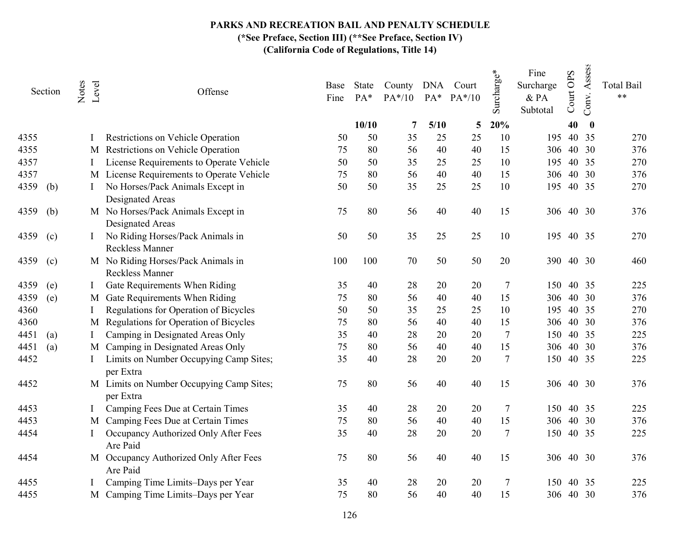|      | Section | Notes<br>Level | Offense                                                      | Base<br>Fine | State<br>PA* | County DNA Court<br>$PA*/10$ | $PA*$ | $PA*/10$ | Surcharge* | Fine<br>Surcharge<br>& PA<br>Subtotal | Court OPS | Assess<br>Conv. | <b>Total Bail</b><br>$**$ |
|------|---------|----------------|--------------------------------------------------------------|--------------|--------------|------------------------------|-------|----------|------------|---------------------------------------|-----------|-----------------|---------------------------|
|      |         |                |                                                              |              | 10/10        | 7                            | 5/10  | 5        | 20%        |                                       | 40        | $\bf{0}$        |                           |
| 4355 |         |                | Restrictions on Vehicle Operation                            | 50           | 50           | 35                           | 25    | 25       | 10         | 195                                   |           | 40 35           | 270                       |
| 4355 |         | M              | Restrictions on Vehicle Operation                            | 75           | 80           | 56                           | 40    | 40       | 15         | 306                                   |           | 40 30           | 376                       |
| 4357 |         |                | License Requirements to Operate Vehicle                      | 50           | 50           | 35                           | 25    | 25       | 10         | 195                                   |           | 40 35           | 270                       |
| 4357 |         |                | M License Requirements to Operate Vehicle                    | 75           | 80           | 56                           | 40    | 40       | 15         | 306                                   | 40        | 30              | 376                       |
| 4359 | (b)     |                | No Horses/Pack Animals Except in<br>Designated Areas         | 50           | 50           | 35                           | 25    | 25       | 10         | 195                                   |           | 40 35           | 270                       |
| 4359 | (b)     |                | M No Horses/Pack Animals Except in<br>Designated Areas       | 75           | 80           | 56                           | 40    | 40       | 15         |                                       | 306 40 30 |                 | 376                       |
| 4359 | (c)     |                | No Riding Horses/Pack Animals in<br><b>Reckless Manner</b>   | 50           | 50           | 35                           | 25    | 25       | 10         | 195                                   |           | 40 35           | 270                       |
| 4359 | (c)     |                | M No Riding Horses/Pack Animals in<br><b>Reckless Manner</b> | 100          | 100          | 70                           | 50    | 50       | 20         | 390                                   |           | 40 30           | 460                       |
| 4359 | (e)     |                | Gate Requirements When Riding                                | 35           | 40           | 28                           | 20    | 20       | 7          | 150                                   |           | 40 35           | 225                       |
| 4359 | (e)     |                | M Gate Requirements When Riding                              | 75           | 80           | 56                           | 40    | 40       | 15         | 306                                   |           | 40 30           | 376                       |
| 4360 |         |                | Regulations for Operation of Bicycles                        | 50           | 50           | 35                           | 25    | 25       | 10         | 195                                   |           | 40 35           | 270                       |
| 4360 |         | M              | Regulations for Operation of Bicycles                        | 75           | 80           | 56                           | 40    | 40       | 15         | 306                                   |           | 40 30           | 376                       |
| 4451 | (a)     |                | Camping in Designated Areas Only                             | 35           | 40           | 28                           | 20    | 20       | $\tau$     | 150                                   |           | 40 35           | 225                       |
| 4451 | (a)     |                | M Camping in Designated Areas Only                           | 75           | 80           | 56                           | 40    | 40       | 15         | 306                                   |           | 40 30           | 376                       |
| 4452 |         |                | Limits on Number Occupying Camp Sites;<br>per Extra          | 35           | 40           | 28                           | 20    | 20       | 7          | 150                                   |           | 40 35           | 225                       |
| 4452 |         |                | M Limits on Number Occupying Camp Sites;<br>per Extra        | 75           | 80           | 56                           | 40    | 40       | 15         |                                       | 306 40 30 |                 | 376                       |
| 4453 |         |                | Camping Fees Due at Certain Times                            | 35           | 40           | $28\,$                       | 20    | 20       | $\tau$     | 150                                   |           | 40 35           | 225                       |
| 4453 |         | M              | Camping Fees Due at Certain Times                            | 75           | 80           | 56                           | 40    | 40       | 15         | 306                                   |           | 40 30           | 376                       |
| 4454 |         |                | Occupancy Authorized Only After Fees<br>Are Paid             | 35           | 40           | 28                           | 20    | 20       | 7          | 150                                   |           | 40 35           | 225                       |
| 4454 |         |                | M Occupancy Authorized Only After Fees<br>Are Paid           | 75           | 80           | 56                           | 40    | 40       | 15         |                                       | 306 40 30 |                 | 376                       |
| 4455 |         |                | Camping Time Limits-Days per Year                            | 35           | 40           | 28                           | 20    | 20       | 7          | 150                                   |           | 40 35           | 225                       |
| 4455 |         | M              | Camping Time Limits-Days per Year                            | 75           | 80           | 56                           | 40    | 40       | 15         |                                       | 306 40 30 |                 | 376                       |
|      |         |                |                                                              |              |              |                              |       |          |            |                                       |           |                 |                           |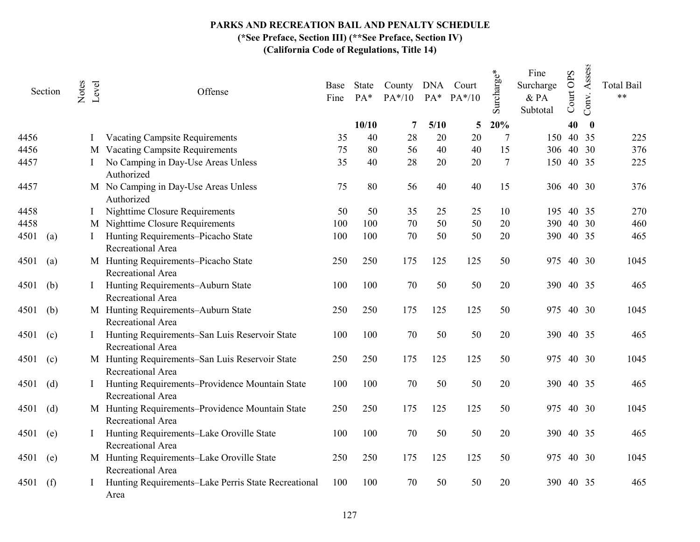|      | Section | Notes | Level | Offense                                                               | Base<br>Fine | State<br>$PA*$ | County DNA Court<br>$PA*/10$ | $PA*$ | $PA*/10$ | Surcharge*     | Fine<br>Surcharge<br>$&$ PA<br>Subtotal | Court OPS | Assess<br>Conv.  | <b>Total Bail</b><br>$**$ |
|------|---------|-------|-------|-----------------------------------------------------------------------|--------------|----------------|------------------------------|-------|----------|----------------|-----------------------------------------|-----------|------------------|---------------------------|
|      |         |       |       |                                                                       |              | 10/10          | 7                            | 5/10  | 5        | 20%            |                                         | 40        | $\boldsymbol{0}$ |                           |
| 4456 |         |       |       | <b>Vacating Campsite Requirements</b>                                 | 35           | 40             | 28                           | 20    | 20       | $\overline{7}$ | 150                                     |           | 40 35            | 225                       |
| 4456 |         |       |       | M Vacating Campsite Requirements                                      | 75           | 80             | 56                           | 40    | 40       | 15             | 306                                     |           | 40 30            | 376                       |
| 4457 |         |       |       | No Camping in Day-Use Areas Unless<br>Authorized                      | 35           | 40             | 28                           | 20    | 20       | 7              | 150                                     |           | 40 35            | 225                       |
| 4457 |         |       |       | M No Camping in Day-Use Areas Unless<br>Authorized                    | 75           | 80             | 56                           | 40    | 40       | 15             |                                         | 306 40 30 |                  | 376                       |
| 4458 |         |       |       | Nighttime Closure Requirements                                        | 50           | 50             | 35                           | 25    | 25       | 10             |                                         | 195 40 35 |                  | 270                       |
| 4458 |         |       |       | M Nighttime Closure Requirements                                      | 100          | 100            | 70                           | 50    | 50       | 20             | 390                                     |           | 40 30            | 460                       |
| 4501 | (a)     |       |       | Hunting Requirements-Picacho State<br>Recreational Area               | 100          | 100            | 70                           | 50    | 50       | 20             | 390                                     |           | 40 35            | 465                       |
| 4501 | (a)     |       |       | M Hunting Requirements-Picacho State<br>Recreational Area             | 250          | 250            | 175                          | 125   | 125      | 50             | 975                                     |           | 40 30            | 1045                      |
| 4501 | (b)     |       |       | Hunting Requirements-Auburn State<br>Recreational Area                | 100          | 100            | 70                           | 50    | 50       | 20             | 390                                     |           | 40 35            | 465                       |
| 4501 | (b)     |       |       | M Hunting Requirements-Auburn State<br>Recreational Area              | 250          | 250            | 175                          | 125   | 125      | 50             | 975                                     |           | 40 30            | 1045                      |
| 4501 | (c)     |       |       | Hunting Requirements-San Luis Reservoir State<br>Recreational Area    | 100          | 100            | 70                           | 50    | 50       | 20             | 390                                     |           | 40 35            | 465                       |
| 4501 | (c)     |       |       | M Hunting Requirements-San Luis Reservoir State<br>Recreational Area  | 250          | 250            | 175                          | 125   | 125      | 50             | 975                                     |           | 40 30            | 1045                      |
| 4501 | (d)     |       |       | Hunting Requirements-Providence Mountain State<br>Recreational Area   | 100          | 100            | 70                           | 50    | 50       | 20             | 390                                     |           | 40 35            | 465                       |
| 4501 | (d)     |       |       | M Hunting Requirements-Providence Mountain State<br>Recreational Area | 250          | 250            | 175                          | 125   | 125      | 50             | 975                                     |           | 40 30            | 1045                      |
| 4501 | (e)     |       |       | Hunting Requirements-Lake Oroville State<br>Recreational Area         | 100          | 100            | 70                           | 50    | 50       | 20             | 390                                     |           | 40 35            | 465                       |
| 4501 | (e)     |       |       | M Hunting Requirements-Lake Oroville State<br>Recreational Area       | 250          | 250            | 175                          | 125   | 125      | 50             | 975                                     |           | 40 30            | 1045                      |
| 4501 | (f)     |       |       | Hunting Requirements-Lake Perris State Recreational<br>Area           | 100          | 100            | 70                           | 50    | 50       | 20             | 390                                     |           | 40 35            | 465                       |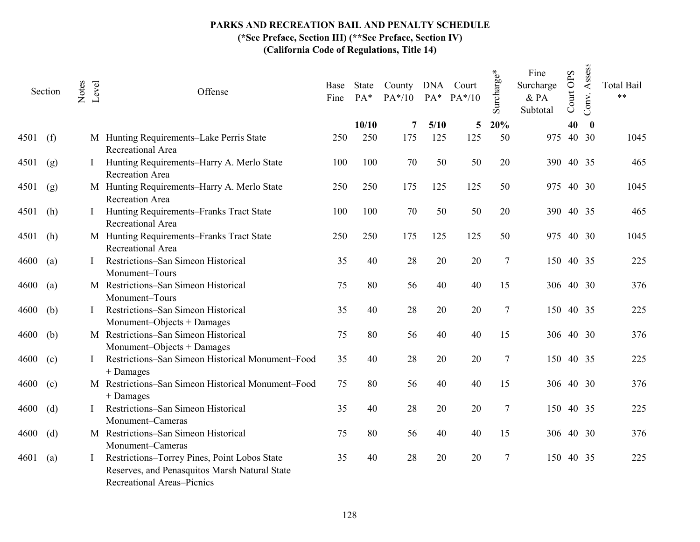|      | Section | Notes | Level | Offense                                                                                                                            | Base<br>Fine | State<br>PA* | County DNA Court<br>$PA*/10$ |             | PA* PA*/10 | Surcharge*     | Fine<br>Surcharge<br>$\&$ PA<br>Subtotal | Court OPS | Assess<br>Conv.           | <b>Total Bail</b><br>$**$ |
|------|---------|-------|-------|------------------------------------------------------------------------------------------------------------------------------------|--------------|--------------|------------------------------|-------------|------------|----------------|------------------------------------------|-----------|---------------------------|---------------------------|
| 4501 |         |       |       |                                                                                                                                    | 250          | 10/10<br>250 | 7<br>175                     | 5/10<br>125 | 5<br>125   | 20%<br>50      | 975                                      | 40        | $\boldsymbol{0}$<br>40 30 | 1045                      |
|      | (f)     |       |       | M Hunting Requirements-Lake Perris State<br>Recreational Area                                                                      |              |              |                              |             |            |                |                                          |           |                           |                           |
| 4501 | (g)     |       |       | Hunting Requirements-Harry A. Merlo State<br>Recreation Area                                                                       | 100          | 100          | 70                           | 50          | 50         | 20             | 390                                      |           | 40 35                     | 465                       |
| 4501 | (g)     |       |       | M Hunting Requirements-Harry A. Merlo State<br>Recreation Area                                                                     | 250          | 250          | 175                          | 125         | 125        | 50             | 975                                      |           | 40 30                     | 1045                      |
| 4501 | (h)     |       |       | Hunting Requirements-Franks Tract State<br>Recreational Area                                                                       | 100          | 100          | 70                           | 50          | 50         | 20             |                                          | 390 40 35 |                           | 465                       |
| 4501 | (h)     |       |       | M Hunting Requirements-Franks Tract State<br>Recreational Area                                                                     | 250          | 250          | 175                          | 125         | 125        | 50             | 975                                      |           | 40 30                     | 1045                      |
| 4600 | (a)     |       |       | Restrictions-San Simeon Historical<br>Monument-Tours                                                                               | 35           | 40           | 28                           | 20          | 20         | $\tau$         | 150                                      |           | 40 35                     | 225                       |
| 4600 | (a)     |       |       | M Restrictions-San Simeon Historical<br>Monument-Tours                                                                             | 75           | 80           | 56                           | 40          | 40         | 15             |                                          | 306 40 30 |                           | 376                       |
| 4600 | (b)     |       |       | Restrictions-San Simeon Historical<br>Monument-Objects + Damages                                                                   | 35           | 40           | 28                           | 20          | 20         | 7              |                                          | 150 40 35 |                           | 225                       |
| 4600 | (b)     |       |       | M Restrictions-San Simeon Historical<br>Monument-Objects + Damages                                                                 | 75           | 80           | 56                           | 40          | 40         | 15             |                                          | 306 40 30 |                           | 376                       |
| 4600 | (c)     |       |       | Restrictions-San Simeon Historical Monument-Food<br>$+$ Damages                                                                    | 35           | 40           | 28                           | 20          | 20         | $\tau$         | 150                                      |           | 40 35                     | 225                       |
| 4600 | (c)     |       |       | M Restrictions-San Simeon Historical Monument-Food<br>+ Damages                                                                    | 75           | 80           | 56                           | 40          | 40         | 15             |                                          | 306 40 30 |                           | 376                       |
| 4600 | (d)     |       |       | Restrictions-San Simeon Historical<br>Monument-Cameras                                                                             | 35           | 40           | 28                           | 20          | 20         | 7              | 150                                      |           | 40 35                     | 225                       |
| 4600 | (d)     |       |       | M Restrictions-San Simeon Historical<br>Monument-Cameras                                                                           | 75           | 80           | 56                           | 40          | 40         | 15             |                                          | 306 40 30 |                           | 376                       |
| 4601 | (a)     |       |       | Restrictions-Torrey Pines, Point Lobos State<br>Reserves, and Penasquitos Marsh Natural State<br><b>Recreational Areas-Picnics</b> | 35           | 40           | 28                           | 20          | 20         | $\overline{7}$ | 150                                      |           | 40 35                     | 225                       |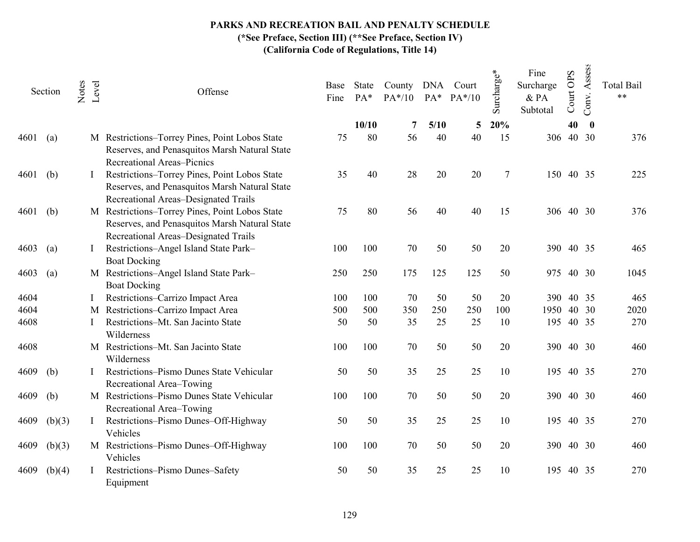# PARKS AND RECREATION BAIL AND PENALTY SCHEDULE

(\*See Preface, Section III) (\*\*See Preface, Section IV)

|      | Section | Notes | Level | Offense                                                                                                                                 | Base<br>Fine | State<br>PA* | County<br>$PA*/10$ | $PA*$ | DNA Court<br>$PA*/10$ | Surcharge* | Fine<br>Surcharge<br>& PA<br>Subtotal | Court OPS | Assess<br>Conv.  | <b>Total Bail</b><br>$**$ |
|------|---------|-------|-------|-----------------------------------------------------------------------------------------------------------------------------------------|--------------|--------------|--------------------|-------|-----------------------|------------|---------------------------------------|-----------|------------------|---------------------------|
|      |         |       |       |                                                                                                                                         |              | 10/10        | 7                  | 5/10  | 5                     | 20%        |                                       | 40        | $\boldsymbol{0}$ |                           |
| 4601 | (a)     |       |       | M Restrictions-Torrey Pines, Point Lobos State<br>Reserves, and Penasquitos Marsh Natural State<br><b>Recreational Areas-Picnics</b>    | 75           | 80           | 56                 | 40    | 40                    | 15         | 306                                   |           | 40 30            | 376                       |
| 4601 | (b)     |       |       | Restrictions-Torrey Pines, Point Lobos State<br>Reserves, and Penasquitos Marsh Natural State<br>Recreational Areas-Designated Trails   | 35           | 40           | 28                 | 20    | 20                    | 7          | 150 40 35                             |           |                  | 225                       |
| 4601 | (b)     |       |       | M Restrictions-Torrey Pines, Point Lobos State<br>Reserves, and Penasquitos Marsh Natural State<br>Recreational Areas-Designated Trails | 75           | 80           | 56                 | 40    | 40                    | 15         | 306 40 30                             |           |                  | 376                       |
| 4603 | (a)     |       |       | Restrictions-Angel Island State Park-<br><b>Boat Docking</b>                                                                            | 100          | 100          | 70                 | 50    | 50                    | 20         | 390 40 35                             |           |                  | 465                       |
| 4603 | (a)     |       |       | M Restrictions-Angel Island State Park-<br><b>Boat Docking</b>                                                                          | 250          | 250          | 175                | 125   | 125                   | 50         | 975                                   |           | 40 30            | 1045                      |
| 4604 |         |       |       | Restrictions-Carrizo Impact Area                                                                                                        | 100          | 100          | 70                 | 50    | 50                    | 20         | <b>390</b>                            |           | 40 35            | 465                       |
| 4604 |         |       |       | M Restrictions-Carrizo Impact Area                                                                                                      | 500          | 500          | 350                | 250   | 250                   | 100        | 1950                                  |           | 40 30            | 2020                      |
| 4608 |         |       |       | Restrictions-Mt. San Jacinto State<br>Wilderness                                                                                        | 50           | 50           | 35                 | 25    | 25                    | 10         | 195                                   |           | 40 35            | 270                       |
| 4608 |         |       |       | M Restrictions-Mt. San Jacinto State<br>Wilderness                                                                                      | 100          | 100          | 70                 | 50    | 50                    | 20         | 390                                   |           | 40 30            | 460                       |
| 4609 | (b)     |       |       | Restrictions-Pismo Dunes State Vehicular<br>Recreational Area-Towing                                                                    | 50           | 50           | 35                 | 25    | 25                    | 10         | 195                                   |           | 40 35            | 270                       |
| 4609 | (b)     |       |       | M Restrictions-Pismo Dunes State Vehicular<br>Recreational Area-Towing                                                                  | 100          | 100          | 70                 | 50    | 50                    | 20         | 390                                   |           | 40 30            | 460                       |
| 4609 | (b)(3)  |       |       | Restrictions-Pismo Dunes-Off-Highway<br>Vehicles                                                                                        | 50           | 50           | 35                 | 25    | 25                    | 10         | 195                                   |           | 40 35            | 270                       |
| 4609 | (b)(3)  |       |       | M Restrictions-Pismo Dunes-Off-Highway<br>Vehicles                                                                                      | 100          | 100          | 70                 | 50    | 50                    | 20         | 390 40 30                             |           |                  | 460                       |
| 4609 | (b)(4)  |       |       | Restrictions-Pismo Dunes-Safety<br>Equipment                                                                                            | 50           | 50           | 35                 | 25    | 25                    | 10         | 195                                   |           | 40 35            | 270                       |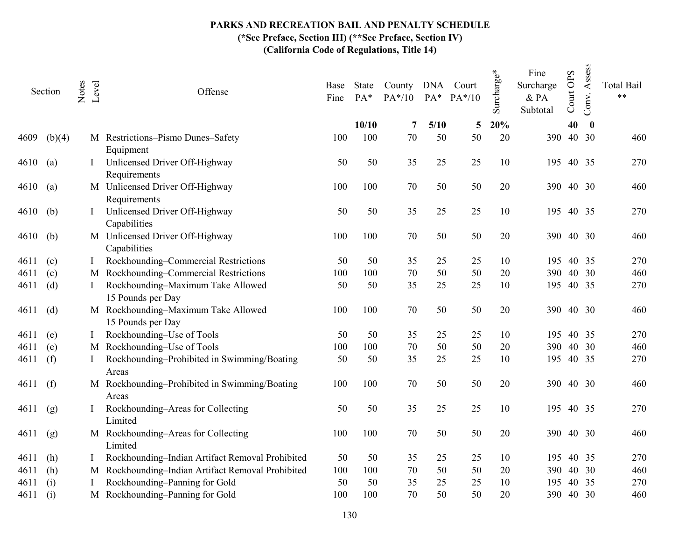|      | Section | Notes | Level | Offense                                                  | Base<br>Fine | State<br>PA* | County DNA Court<br>$PA*/10$ | $PA*$      | $PA*/10$ | Surcharge* | Fine<br>Surcharge<br>& PA<br>Subtotal | Court OPS | Assess<br>Conv.   | <b>Total Bail</b><br>$***$ |
|------|---------|-------|-------|----------------------------------------------------------|--------------|--------------|------------------------------|------------|----------|------------|---------------------------------------|-----------|-------------------|----------------------------|
| 4609 | (b)(4)  |       |       | M Restrictions-Pismo Dunes-Safety                        | 100          | 10/10<br>100 | 7<br>70                      | 5/10<br>50 | 5<br>50  | 20%<br>20  | 390                                   | 40        | $\bf{0}$<br>40 30 | 460                        |
|      |         |       |       | Equipment                                                |              |              |                              |            |          |            |                                       |           |                   |                            |
| 4610 | (a)     |       |       | Unlicensed Driver Off-Highway<br>Requirements            | 50           | 50           | 35                           | 25         | 25       | 10         | 195                                   |           | 40 35             | 270                        |
| 4610 | (a)     |       |       | M Unlicensed Driver Off-Highway<br>Requirements          | 100          | 100          | 70                           | 50         | 50       | 20         | 390                                   |           | 40 30             | 460                        |
| 4610 | (b)     |       |       | Unlicensed Driver Off-Highway<br>Capabilities            | 50           | 50           | 35                           | 25         | 25       | 10         | 195                                   |           | 40 35             | 270                        |
| 4610 | (b)     |       |       | M Unlicensed Driver Off-Highway<br>Capabilities          | 100          | 100          | 70                           | 50         | 50       | 20         | 390                                   |           | 40 30             | 460                        |
| 4611 | (c)     |       |       | Rockhounding-Commercial Restrictions                     | 50           | 50           | 35                           | 25         | 25       | 10         | 195                                   |           | 40 35             | 270                        |
| 4611 | (c)     |       |       | M Rockhounding-Commercial Restrictions                   | 100          | 100          | 70                           | 50         | 50       | 20         | 390                                   |           | 40 30             | 460                        |
| 4611 | (d)     |       |       | Rockhounding-Maximum Take Allowed<br>15 Pounds per Day   | 50           | 50           | 35                           | 25         | 25       | 10         | 195                                   |           | 40 35             | 270                        |
| 4611 | (d)     |       |       | M Rockhounding-Maximum Take Allowed<br>15 Pounds per Day | 100          | 100          | 70                           | 50         | 50       | 20         | 390                                   |           | 40 30             | 460                        |
| 4611 | (e)     |       |       | Rockhounding-Use of Tools                                | 50           | 50           | 35                           | 25         | 25       | 10         | 195                                   |           | 40 35             | 270                        |
| 4611 | (e)     |       |       | M Rockhounding-Use of Tools                              | 100          | 100          | 70                           | 50         | 50       | 20         | 390                                   |           | 40 30             | 460                        |
| 4611 | (f)     |       |       | Rockhounding-Prohibited in Swimming/Boating<br>Areas     | 50           | 50           | 35                           | 25         | 25       | 10         | 195                                   |           | 40 35             | 270                        |
| 4611 | (f)     |       |       | M Rockhounding-Prohibited in Swimming/Boating<br>Areas   | 100          | 100          | 70                           | 50         | 50       | 20         | 390                                   |           | 40 30             | 460                        |
| 4611 | (g)     |       |       | Rockhounding-Areas for Collecting<br>Limited             | 50           | 50           | 35                           | 25         | 25       | 10         | 195                                   |           | 40 35             | 270                        |
| 4611 | (g)     |       |       | M Rockhounding-Areas for Collecting<br>Limited           | 100          | 100          | 70                           | 50         | 50       | 20         | 390                                   |           | 40 30             | 460                        |
| 4611 | (h)     |       |       | Rockhounding-Indian Artifact Removal Prohibited          | 50           | 50           | 35                           | 25         | 25       | 10         | 195                                   |           | 40 35             | 270                        |
| 4611 | (h)     |       |       | M Rockhounding-Indian Artifact Removal Prohibited        | 100          | 100          | 70                           | 50         | 50       | 20         | 390                                   |           | 40 30             | 460                        |
| 4611 | (i)     |       |       | Rockhounding-Panning for Gold                            | 50           | 50           | 35                           | 25         | 25       | 10         | 195                                   |           | 40 35             | 270                        |
| 4611 | (i)     |       |       | M Rockhounding-Panning for Gold                          | 100          | 100          | 70                           | 50         | 50       | 20         | 390                                   |           | 40 30             | 460                        |
|      |         |       |       |                                                          |              |              |                              |            |          |            |                                       |           |                   |                            |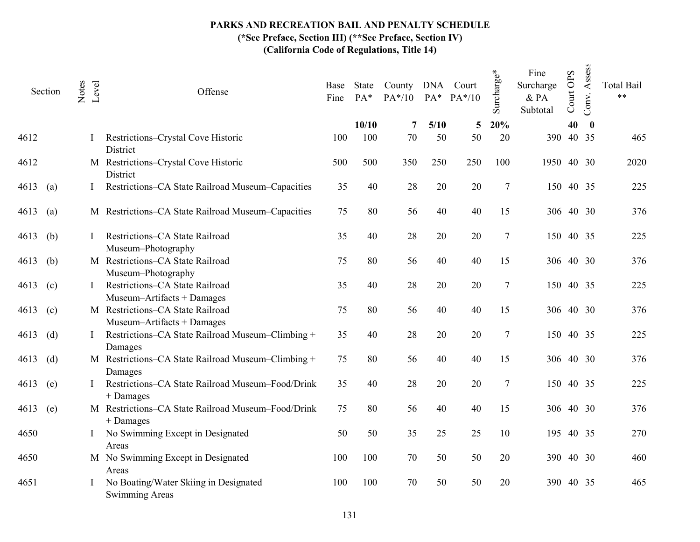|      | Section | Notes | Level | Offense                                                         | Base<br>Fine | State<br>PA* | County DNA Court<br>$PA*/10$ | $PA^*$     | $PA*/10$ | Surcharge* | Fine<br>Surcharge<br>$\&$ PA<br>Subtotal | Court OPS | Assess<br>Conv.           | <b>Total Bail</b><br>$***$ |
|------|---------|-------|-------|-----------------------------------------------------------------|--------------|--------------|------------------------------|------------|----------|------------|------------------------------------------|-----------|---------------------------|----------------------------|
| 4612 |         |       |       | Restrictions-Crystal Cove Historic<br>District                  | 100          | 10/10<br>100 | 7<br>70                      | 5/10<br>50 | 5<br>50  | 20%<br>20  | 390                                      | 40        | $\boldsymbol{0}$<br>40 35 | 465                        |
| 4612 |         |       |       | M Restrictions-Crystal Cove Historic<br>District                | 500          | 500          | 350                          | 250        | 250      | 100        | 1950                                     |           | 40 30                     | 2020                       |
| 4613 | (a)     |       |       | Restrictions-CA State Railroad Museum-Capacities                | 35           | 40           | 28                           | 20         | 20       | $\tau$     | 150                                      |           | 40 35                     | 225                        |
| 4613 | (a)     |       |       | M Restrictions-CA State Railroad Museum-Capacities              | 75           | 80           | 56                           | 40         | 40       | 15         |                                          | 306 40 30 |                           | 376                        |
| 4613 | (b)     |       |       | Restrictions-CA State Railroad<br>Museum-Photography            | 35           | 40           | 28                           | 20         | 20       | 7          |                                          | 150 40 35 |                           | 225                        |
| 4613 | (b)     |       |       | M Restrictions-CA State Railroad<br>Museum-Photography          | 75           | 80           | 56                           | 40         | 40       | 15         |                                          | 306 40 30 |                           | 376                        |
| 4613 | (c)     |       |       | Restrictions-CA State Railroad<br>Museum-Artifacts + Damages    | 35           | 40           | 28                           | 20         | 20       | $\tau$     | 150                                      | 40 35     |                           | 225                        |
| 4613 | (c)     |       |       | M Restrictions-CA State Railroad<br>Museum-Artifacts + Damages  | 75           | 80           | 56                           | 40         | 40       | 15         |                                          | 306 40 30 |                           | 376                        |
| 4613 | (d)     |       |       | Restrictions-CA State Railroad Museum-Climbing +<br>Damages     | 35           | 40           | 28                           | 20         | 20       | 7          |                                          | 150 40 35 |                           | 225                        |
| 4613 | (d)     |       |       | M Restrictions-CA State Railroad Museum-Climbing +<br>Damages   | 75           | 80           | 56                           | 40         | 40       | 15         |                                          | 306 40 30 |                           | 376                        |
| 4613 | (e)     |       |       | Restrictions-CA State Railroad Museum-Food/Drink<br>+ Damages   | 35           | 40           | 28                           | 20         | 20       | $\tau$     | 150                                      | 40 35     |                           | 225                        |
| 4613 | (e)     |       |       | M Restrictions-CA State Railroad Museum-Food/Drink<br>+ Damages | 75           | 80           | 56                           | 40         | 40       | 15         |                                          | 306 40 30 |                           | 376                        |
| 4650 |         |       |       | No Swimming Except in Designated<br>Areas                       | 50           | 50           | 35                           | 25         | 25       | 10         | 195                                      |           | 40 35                     | 270                        |
| 4650 |         |       |       | M No Swimming Except in Designated<br>Areas                     | 100          | 100          | 70                           | 50         | 50       | 20         | 390                                      |           | 40 30                     | 460                        |
| 4651 |         |       |       | No Boating/Water Skiing in Designated<br>Swimming Areas         | 100          | 100          | 70                           | 50         | 50       | 20         | 390                                      |           | 40 35                     | 465                        |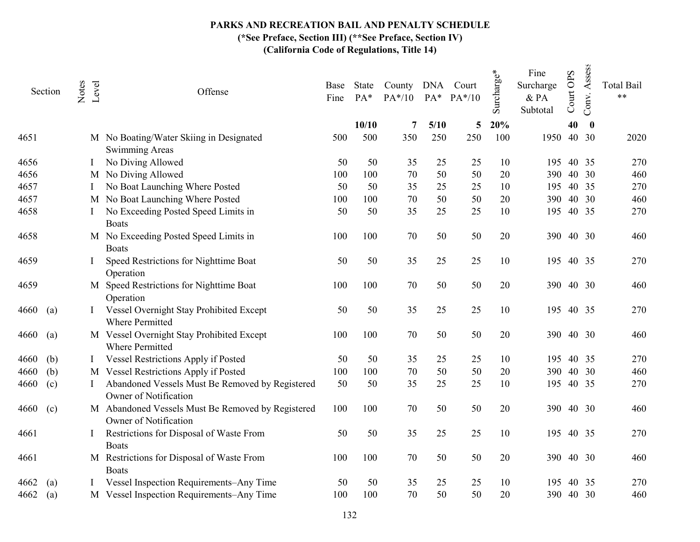|      | Section           | Notes | Level | Offense                                                                    | Base<br>Fine | State<br>$PA*$ | County DNA Court<br>$PA*/10$ | $PA*$ | $PA*/10$ | Surcharge* | Fine<br>Surcharge<br>$&$ PA<br>Subtotal | Court OPS | Assess<br>Conv. | <b>Total Bail</b><br>$***$ |
|------|-------------------|-------|-------|----------------------------------------------------------------------------|--------------|----------------|------------------------------|-------|----------|------------|-----------------------------------------|-----------|-----------------|----------------------------|
|      |                   |       |       |                                                                            |              | 10/10          | 7                            | 5/10  | 5        | 20%        |                                         | 40        | $\bf{0}$        |                            |
| 4651 |                   |       |       | M No Boating/Water Skiing in Designated<br><b>Swimming Areas</b>           | 500          | 500            | 350                          | 250   | 250      | 100        | 1950                                    |           | 40 30           | 2020                       |
| 4656 |                   |       |       | No Diving Allowed                                                          | 50           | 50             | 35                           | 25    | 25       | 10         | 195                                     |           | 40 35           | 270                        |
| 4656 |                   |       |       | M No Diving Allowed                                                        | 100          | 100            | 70                           | 50    | 50       | 20         | 390                                     |           | 40 30           | 460                        |
| 4657 |                   |       |       | No Boat Launching Where Posted                                             | 50           | 50             | 35                           | 25    | 25       | 10         | 195                                     |           | 40 35           | 270                        |
| 4657 |                   |       |       | M No Boat Launching Where Posted                                           | 100          | 100            | 70                           | 50    | 50       | 20         | 390                                     |           | 40 30           | 460                        |
| 4658 |                   |       |       | No Exceeding Posted Speed Limits in<br><b>Boats</b>                        | 50           | 50             | 35                           | 25    | 25       | 10         | 195                                     | 40 35     |                 | 270                        |
| 4658 |                   |       |       | M No Exceeding Posted Speed Limits in<br><b>Boats</b>                      | 100          | 100            | 70                           | 50    | 50       | 20         | 390                                     | 40 30     |                 | 460                        |
| 4659 |                   |       |       | Speed Restrictions for Nighttime Boat<br>Operation                         | 50           | 50             | 35                           | 25    | 25       | 10         | 195                                     |           | 40 35           | 270                        |
| 4659 |                   |       |       | M Speed Restrictions for Nighttime Boat<br>Operation                       | 100          | 100            | 70                           | 50    | 50       | 20         | 390                                     |           | 40 30           | 460                        |
| 4660 | (a)               |       |       | Vessel Overnight Stay Prohibited Except<br><b>Where Permitted</b>          | 50           | 50             | 35                           | 25    | 25       | 10         | 195                                     |           | 40 35           | 270                        |
| 4660 | $\left( a\right)$ |       |       | M Vessel Overnight Stay Prohibited Except<br><b>Where Permitted</b>        | 100          | 100            | 70                           | 50    | 50       | 20         | 390                                     |           | 40 30           | 460                        |
| 4660 | (b)               |       |       | Vessel Restrictions Apply if Posted                                        | 50           | 50             | 35                           | 25    | 25       | 10         | 195                                     |           | 40 35           | 270                        |
| 4660 | (b)               |       |       | M Vessel Restrictions Apply if Posted                                      | 100          | 100            | 70                           | 50    | 50       | 20         | 390                                     |           | 40 30           | 460                        |
| 4660 | (c)               |       |       | Abandoned Vessels Must Be Removed by Registered<br>Owner of Notification   | 50           | 50             | 35                           | 25    | 25       | 10         | 195                                     |           | 40 35           | 270                        |
| 4660 | (c)               |       |       | M Abandoned Vessels Must Be Removed by Registered<br>Owner of Notification | 100          | 100            | 70                           | 50    | 50       | 20         | 390                                     |           | 40 30           | 460                        |
| 4661 |                   |       |       | Restrictions for Disposal of Waste From<br><b>Boats</b>                    | 50           | 50             | 35                           | 25    | 25       | 10         | 195                                     | 40 35     |                 | 270                        |
| 4661 |                   |       |       | M Restrictions for Disposal of Waste From<br><b>Boats</b>                  | 100          | 100            | 70                           | 50    | 50       | 20         | 390                                     |           | 40 30           | 460                        |
| 4662 | (a)               |       |       | Vessel Inspection Requirements-Any Time                                    | 50           | 50             | 35                           | 25    | 25       | 10         | 195                                     | 40        | 35              | 270                        |
| 4662 | (a)               |       |       | M Vessel Inspection Requirements-Any Time                                  | 100          | 100            | 70                           | 50    | 50       | 20         |                                         | 390 40 30 |                 | 460                        |